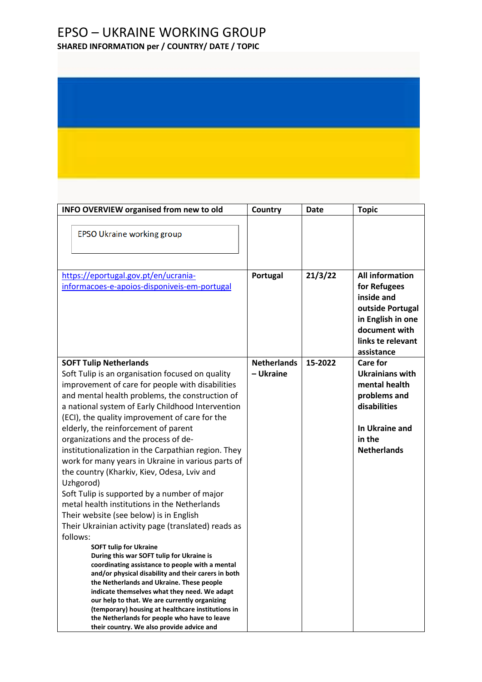## EPSO – UKRAINE WORKING GROUP

**SHARED INFORMATION per / COUNTRY/ DATE / TOPIC**

| <b>INFO OVERVIEW organised from new to old</b>                                                                                                                                                                                                                                                                                                                                                                                                                                                                                                                                                                                                                                                                                                                                                                                                                                                                                                                             | Country            | Date    | <b>Topic</b>                                                                                                                                      |
|----------------------------------------------------------------------------------------------------------------------------------------------------------------------------------------------------------------------------------------------------------------------------------------------------------------------------------------------------------------------------------------------------------------------------------------------------------------------------------------------------------------------------------------------------------------------------------------------------------------------------------------------------------------------------------------------------------------------------------------------------------------------------------------------------------------------------------------------------------------------------------------------------------------------------------------------------------------------------|--------------------|---------|---------------------------------------------------------------------------------------------------------------------------------------------------|
| <b>EPSO Ukraine working group</b>                                                                                                                                                                                                                                                                                                                                                                                                                                                                                                                                                                                                                                                                                                                                                                                                                                                                                                                                          |                    |         |                                                                                                                                                   |
| https://eportugal.gov.pt/en/ucrania-<br>informacoes-e-apoios-disponiveis-em-portugal                                                                                                                                                                                                                                                                                                                                                                                                                                                                                                                                                                                                                                                                                                                                                                                                                                                                                       | Portugal           | 21/3/22 | <b>All information</b><br>for Refugees<br>inside and<br>outside Portugal<br>in English in one<br>document with<br>links te relevant<br>assistance |
| <b>SOFT Tulip Netherlands</b>                                                                                                                                                                                                                                                                                                                                                                                                                                                                                                                                                                                                                                                                                                                                                                                                                                                                                                                                              | <b>Netherlands</b> | 15-2022 | <b>Care for</b>                                                                                                                                   |
| Soft Tulip is an organisation focused on quality<br>improvement of care for people with disabilities<br>and mental health problems, the construction of<br>a national system of Early Childhood Intervention<br>(ECI), the quality improvement of care for the<br>elderly, the reinforcement of parent<br>organizations and the process of de-<br>institutionalization in the Carpathian region. They<br>work for many years in Ukraine in various parts of<br>the country (Kharkiv, Kiev, Odesa, Lviv and<br>Uzhgorod)<br>Soft Tulip is supported by a number of major<br>metal health institutions in the Netherlands<br>Their website (see below) is in English<br>Their Ukrainian activity page (translated) reads as<br>follows:<br><b>SOFT tulip for Ukraine</b><br>During this war SOFT tulip for Ukraine is<br>coordinating assistance to people with a mental<br>and/or physical disability and their carers in both<br>the Netherlands and Ukraine. These people | - Ukraine          |         | <b>Ukrainians with</b><br>mental health<br>problems and<br>disabilities<br>In Ukraine and<br>in the<br><b>Netherlands</b>                         |
| indicate themselves what they need. We adapt<br>our help to that. We are currently organizing<br>(temporary) housing at healthcare institutions in<br>the Netherlands for people who have to leave<br>their country. We also provide advice and                                                                                                                                                                                                                                                                                                                                                                                                                                                                                                                                                                                                                                                                                                                            |                    |         |                                                                                                                                                   |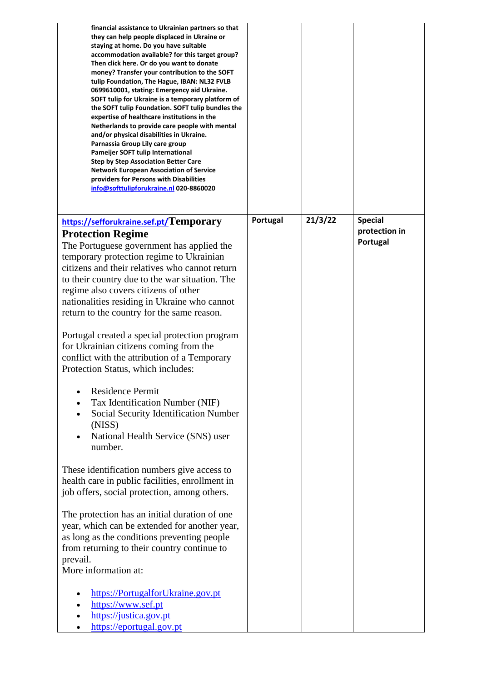| financial assistance to Ukrainian partners so that<br>they can help people displaced in Ukraine or<br>staying at home. Do you have suitable<br>accommodation available? for this target group?<br>Then click here. Or do you want to donate<br>money? Transfer your contribution to the SOFT<br>tulip Foundation, The Hague, IBAN: NL32 FVLB<br>0699610001, stating: Emergency aid Ukraine.<br>SOFT tulip for Ukraine is a temporary platform of<br>the SOFT tulip Foundation. SOFT tulip bundles the<br>expertise of healthcare institutions in the<br>Netherlands to provide care people with mental<br>and/or physical disabilities in Ukraine.<br>Parnassia Group Lily care group<br>Pameijer SOFT tulip International<br><b>Step by Step Association Better Care</b><br><b>Network European Association of Service</b><br>providers for Persons with Disabilities<br>info@softtulipforukraine.nl 020-8860020 |          |         |                                 |
|-------------------------------------------------------------------------------------------------------------------------------------------------------------------------------------------------------------------------------------------------------------------------------------------------------------------------------------------------------------------------------------------------------------------------------------------------------------------------------------------------------------------------------------------------------------------------------------------------------------------------------------------------------------------------------------------------------------------------------------------------------------------------------------------------------------------------------------------------------------------------------------------------------------------|----------|---------|---------------------------------|
| https://sefforukraine.sef.pt/Temporary                                                                                                                                                                                                                                                                                                                                                                                                                                                                                                                                                                                                                                                                                                                                                                                                                                                                            | Portugal | 21/3/22 | <b>Special</b><br>protection in |
| <b>Protection Regime</b><br>The Portuguese government has applied the                                                                                                                                                                                                                                                                                                                                                                                                                                                                                                                                                                                                                                                                                                                                                                                                                                             |          |         | Portugal                        |
| temporary protection regime to Ukrainian                                                                                                                                                                                                                                                                                                                                                                                                                                                                                                                                                                                                                                                                                                                                                                                                                                                                          |          |         |                                 |
| citizens and their relatives who cannot return                                                                                                                                                                                                                                                                                                                                                                                                                                                                                                                                                                                                                                                                                                                                                                                                                                                                    |          |         |                                 |
| to their country due to the war situation. The                                                                                                                                                                                                                                                                                                                                                                                                                                                                                                                                                                                                                                                                                                                                                                                                                                                                    |          |         |                                 |
| regime also covers citizens of other<br>nationalities residing in Ukraine who cannot                                                                                                                                                                                                                                                                                                                                                                                                                                                                                                                                                                                                                                                                                                                                                                                                                              |          |         |                                 |
| return to the country for the same reason.                                                                                                                                                                                                                                                                                                                                                                                                                                                                                                                                                                                                                                                                                                                                                                                                                                                                        |          |         |                                 |
|                                                                                                                                                                                                                                                                                                                                                                                                                                                                                                                                                                                                                                                                                                                                                                                                                                                                                                                   |          |         |                                 |
| Portugal created a special protection program                                                                                                                                                                                                                                                                                                                                                                                                                                                                                                                                                                                                                                                                                                                                                                                                                                                                     |          |         |                                 |
| for Ukrainian citizens coming from the                                                                                                                                                                                                                                                                                                                                                                                                                                                                                                                                                                                                                                                                                                                                                                                                                                                                            |          |         |                                 |
| conflict with the attribution of a Temporary<br>Protection Status, which includes:                                                                                                                                                                                                                                                                                                                                                                                                                                                                                                                                                                                                                                                                                                                                                                                                                                |          |         |                                 |
|                                                                                                                                                                                                                                                                                                                                                                                                                                                                                                                                                                                                                                                                                                                                                                                                                                                                                                                   |          |         |                                 |
| <b>Residence Permit</b>                                                                                                                                                                                                                                                                                                                                                                                                                                                                                                                                                                                                                                                                                                                                                                                                                                                                                           |          |         |                                 |
| Tax Identification Number (NIF)                                                                                                                                                                                                                                                                                                                                                                                                                                                                                                                                                                                                                                                                                                                                                                                                                                                                                   |          |         |                                 |
| Social Security Identification Number<br>(NISS)                                                                                                                                                                                                                                                                                                                                                                                                                                                                                                                                                                                                                                                                                                                                                                                                                                                                   |          |         |                                 |
| National Health Service (SNS) user                                                                                                                                                                                                                                                                                                                                                                                                                                                                                                                                                                                                                                                                                                                                                                                                                                                                                |          |         |                                 |
| number.                                                                                                                                                                                                                                                                                                                                                                                                                                                                                                                                                                                                                                                                                                                                                                                                                                                                                                           |          |         |                                 |
|                                                                                                                                                                                                                                                                                                                                                                                                                                                                                                                                                                                                                                                                                                                                                                                                                                                                                                                   |          |         |                                 |
| These identification numbers give access to<br>health care in public facilities, enrollment in                                                                                                                                                                                                                                                                                                                                                                                                                                                                                                                                                                                                                                                                                                                                                                                                                    |          |         |                                 |
| job offers, social protection, among others.                                                                                                                                                                                                                                                                                                                                                                                                                                                                                                                                                                                                                                                                                                                                                                                                                                                                      |          |         |                                 |
|                                                                                                                                                                                                                                                                                                                                                                                                                                                                                                                                                                                                                                                                                                                                                                                                                                                                                                                   |          |         |                                 |
| The protection has an initial duration of one                                                                                                                                                                                                                                                                                                                                                                                                                                                                                                                                                                                                                                                                                                                                                                                                                                                                     |          |         |                                 |
| year, which can be extended for another year,                                                                                                                                                                                                                                                                                                                                                                                                                                                                                                                                                                                                                                                                                                                                                                                                                                                                     |          |         |                                 |
| as long as the conditions preventing people<br>from returning to their country continue to                                                                                                                                                                                                                                                                                                                                                                                                                                                                                                                                                                                                                                                                                                                                                                                                                        |          |         |                                 |
| prevail.                                                                                                                                                                                                                                                                                                                                                                                                                                                                                                                                                                                                                                                                                                                                                                                                                                                                                                          |          |         |                                 |
| More information at:                                                                                                                                                                                                                                                                                                                                                                                                                                                                                                                                                                                                                                                                                                                                                                                                                                                                                              |          |         |                                 |
|                                                                                                                                                                                                                                                                                                                                                                                                                                                                                                                                                                                                                                                                                                                                                                                                                                                                                                                   |          |         |                                 |
| https://PortugalforUkraine.gov.pt<br>https://www.sef.pt                                                                                                                                                                                                                                                                                                                                                                                                                                                                                                                                                                                                                                                                                                                                                                                                                                                           |          |         |                                 |
| https://justica.gov.pt                                                                                                                                                                                                                                                                                                                                                                                                                                                                                                                                                                                                                                                                                                                                                                                                                                                                                            |          |         |                                 |
| https://eportugal.gov.pt                                                                                                                                                                                                                                                                                                                                                                                                                                                                                                                                                                                                                                                                                                                                                                                                                                                                                          |          |         |                                 |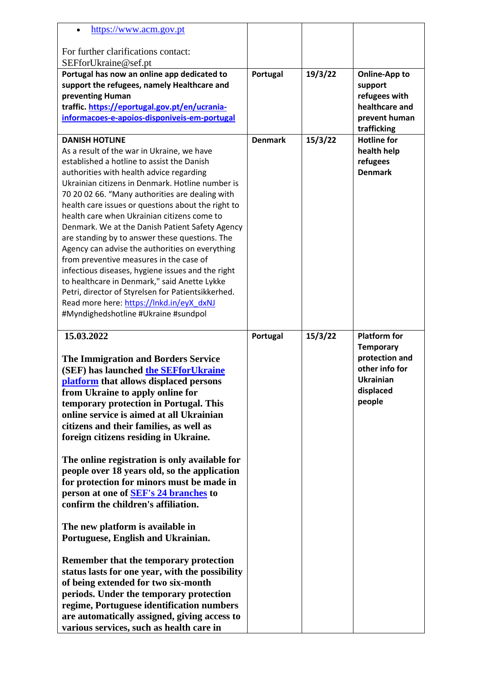| https://www.acm.gov.pt                                                                        |                |         |                                 |
|-----------------------------------------------------------------------------------------------|----------------|---------|---------------------------------|
|                                                                                               |                |         |                                 |
| For further clarifications contact:                                                           |                |         |                                 |
| SEFforUkraine@sef.pt                                                                          |                |         |                                 |
| Portugal has now an online app dedicated to                                                   | Portugal       | 19/3/22 | <b>Online-App to</b>            |
| support the refugees, namely Healthcare and                                                   |                |         | support                         |
| preventing Human                                                                              |                |         | refugees with<br>healthcare and |
| traffic. https://eportugal.gov.pt/en/ucrania-<br>informacoes-e-apoios-disponiveis-em-portugal |                |         | prevent human                   |
|                                                                                               |                |         | trafficking                     |
| <b>DANISH HOTLINE</b>                                                                         | <b>Denmark</b> | 15/3/22 | <b>Hotline for</b>              |
| As a result of the war in Ukraine, we have                                                    |                |         | health help                     |
| established a hotline to assist the Danish                                                    |                |         | refugees                        |
| authorities with health advice regarding                                                      |                |         | <b>Denmark</b>                  |
| Ukrainian citizens in Denmark. Hotline number is                                              |                |         |                                 |
| 70 20 02 66. "Many authorities are dealing with                                               |                |         |                                 |
| health care issues or questions about the right to                                            |                |         |                                 |
| health care when Ukrainian citizens come to                                                   |                |         |                                 |
| Denmark. We at the Danish Patient Safety Agency                                               |                |         |                                 |
| are standing by to answer these questions. The                                                |                |         |                                 |
| Agency can advise the authorities on everything                                               |                |         |                                 |
| from preventive measures in the case of                                                       |                |         |                                 |
| infectious diseases, hygiene issues and the right                                             |                |         |                                 |
| to healthcare in Denmark," said Anette Lykke                                                  |                |         |                                 |
| Petri, director of Styrelsen for Patientsikkerhed.                                            |                |         |                                 |
| Read more here: https://lnkd.in/eyX dxNJ                                                      |                |         |                                 |
| #Myndighedshotline #Ukraine #sundpol                                                          |                |         |                                 |
|                                                                                               |                |         |                                 |
|                                                                                               |                |         |                                 |
| 15.03.2022                                                                                    | Portugal       | 15/3/22 | <b>Platform for</b>             |
|                                                                                               |                |         | <b>Temporary</b>                |
| The Immigration and Borders Service                                                           |                |         | protection and                  |
| (SEF) has launched the SEFforUkraine                                                          |                |         | other info for                  |
| platform that allows displaced persons                                                        |                |         | <b>Ukrainian</b>                |
| from Ukraine to apply online for                                                              |                |         | displaced                       |
| temporary protection in Portugal. This                                                        |                |         | people                          |
| online service is aimed at all Ukrainian                                                      |                |         |                                 |
| citizens and their families, as well as                                                       |                |         |                                 |
| foreign citizens residing in Ukraine.                                                         |                |         |                                 |
|                                                                                               |                |         |                                 |
| The online registration is only available for                                                 |                |         |                                 |
| people over 18 years old, so the application                                                  |                |         |                                 |
| for protection for minors must be made in                                                     |                |         |                                 |
| person at one of <b>SEF's 24 branches</b> to                                                  |                |         |                                 |
| confirm the children's affiliation.                                                           |                |         |                                 |
|                                                                                               |                |         |                                 |
| The new platform is available in                                                              |                |         |                                 |
| Portuguese, English and Ukrainian.                                                            |                |         |                                 |
|                                                                                               |                |         |                                 |
| Remember that the temporary protection                                                        |                |         |                                 |
| status lasts for one year, with the possibility                                               |                |         |                                 |
| of being extended for two six-month                                                           |                |         |                                 |
| periods. Under the temporary protection<br>regime, Portuguese identification numbers          |                |         |                                 |
| are automatically assigned, giving access to                                                  |                |         |                                 |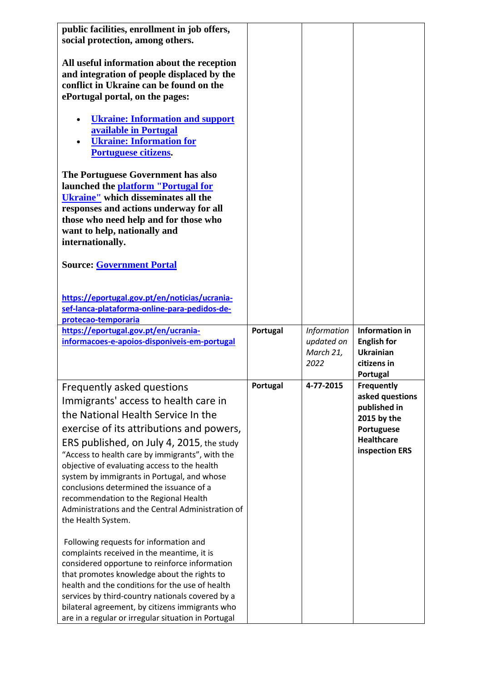| public facilities, enrollment in job offers,<br>social protection, among others.<br>All useful information about the reception<br>and integration of people displaced by the<br>conflict in Ukraine can be found on the<br>ePortugal portal, on the pages:<br><b>Ukraine: Information and support</b><br>available in Portugal<br><b>Ukraine: Information for</b><br>Portuguese citizens.<br>The Portuguese Government has also<br>launched the platform "Portugal for<br><b>Ukraine"</b> which disseminates all the<br>responses and actions underway for all<br>those who need help and for those who<br>want to help, nationally and<br>internationally. |          |                                 |                                                                                                                          |
|-------------------------------------------------------------------------------------------------------------------------------------------------------------------------------------------------------------------------------------------------------------------------------------------------------------------------------------------------------------------------------------------------------------------------------------------------------------------------------------------------------------------------------------------------------------------------------------------------------------------------------------------------------------|----------|---------------------------------|--------------------------------------------------------------------------------------------------------------------------|
| <b>Source: Government Portal</b>                                                                                                                                                                                                                                                                                                                                                                                                                                                                                                                                                                                                                            |          |                                 |                                                                                                                          |
| https://eportugal.gov.pt/en/noticias/ucrania-<br>sef-lanca-plataforma-online-para-pedidos-de-<br>protecao-temporaria                                                                                                                                                                                                                                                                                                                                                                                                                                                                                                                                        |          |                                 |                                                                                                                          |
| https://eportugal.gov.pt/en/ucrania-                                                                                                                                                                                                                                                                                                                                                                                                                                                                                                                                                                                                                        | Portugal | <b>Information</b>              | <b>Information in</b>                                                                                                    |
| informacoes-e-apoios-disponiveis-em-portugal                                                                                                                                                                                                                                                                                                                                                                                                                                                                                                                                                                                                                |          | updated on<br>March 21,<br>2022 | <b>English for</b><br><b>Ukrainian</b><br>citizens in<br>Portugal                                                        |
| Frequently asked questions<br>Immigrants' access to health care in<br>the National Health Service In the<br>exercise of its attributions and powers,<br>ERS published, on July 4, 2015, the study<br>"Access to health care by immigrants", with the<br>objective of evaluating access to the health<br>system by immigrants in Portugal, and whose<br>conclusions determined the issuance of a<br>recommendation to the Regional Health<br>Administrations and the Central Administration of<br>the Health System.<br>Following requests for information and                                                                                               | Portugal | 4-77-2015                       | <b>Frequently</b><br>asked questions<br>published in<br>2015 by the<br>Portuguese<br><b>Healthcare</b><br>inspection ERS |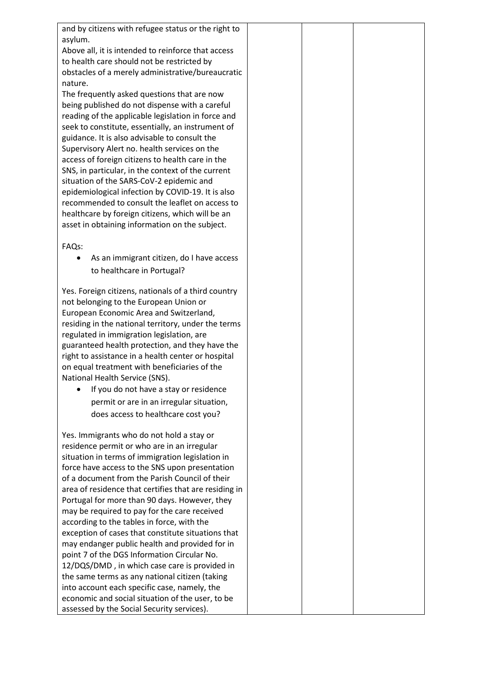| and by citizens with refugee status or the right to   |  |
|-------------------------------------------------------|--|
| asylum.                                               |  |
| Above all, it is intended to reinforce that access    |  |
| to health care should not be restricted by            |  |
| obstacles of a merely administrative/bureaucratic     |  |
| nature.                                               |  |
|                                                       |  |
| The frequently asked questions that are now           |  |
| being published do not dispense with a careful        |  |
| reading of the applicable legislation in force and    |  |
| seek to constitute, essentially, an instrument of     |  |
| guidance. It is also advisable to consult the         |  |
| Supervisory Alert no. health services on the          |  |
| access of foreign citizens to health care in the      |  |
| SNS, in particular, in the context of the current     |  |
| situation of the SARS-CoV-2 epidemic and              |  |
| epidemiological infection by COVID-19. It is also     |  |
| recommended to consult the leaflet on access to       |  |
| healthcare by foreign citizens, which will be an      |  |
| asset in obtaining information on the subject.        |  |
|                                                       |  |
| FAQs:                                                 |  |
| As an immigrant citizen, do I have access<br>٠        |  |
| to healthcare in Portugal?                            |  |
|                                                       |  |
| Yes. Foreign citizens, nationals of a third country   |  |
| not belonging to the European Union or                |  |
| European Economic Area and Switzerland,               |  |
| residing in the national territory, under the terms   |  |
| regulated in immigration legislation, are             |  |
| guaranteed health protection, and they have the       |  |
| right to assistance in a health center or hospital    |  |
|                                                       |  |
| on equal treatment with beneficiaries of the          |  |
| National Health Service (SNS).                        |  |
| If you do not have a stay or residence                |  |
| permit or are in an irregular situation,              |  |
| does access to healthcare cost you?                   |  |
|                                                       |  |
| Yes. Immigrants who do not hold a stay or             |  |
| residence permit or who are in an irregular           |  |
| situation in terms of immigration legislation in      |  |
| force have access to the SNS upon presentation        |  |
| of a document from the Parish Council of their        |  |
| area of residence that certifies that are residing in |  |
| Portugal for more than 90 days. However, they         |  |
| may be required to pay for the care received          |  |
| according to the tables in force, with the            |  |
| exception of cases that constitute situations that    |  |
| may endanger public health and provided for in        |  |
| point 7 of the DGS Information Circular No.           |  |
| 12/DQS/DMD, in which case care is provided in         |  |
| the same terms as any national citizen (taking        |  |
| into account each specific case, namely, the          |  |
| economic and social situation of the user, to be      |  |
| assessed by the Social Security services).            |  |